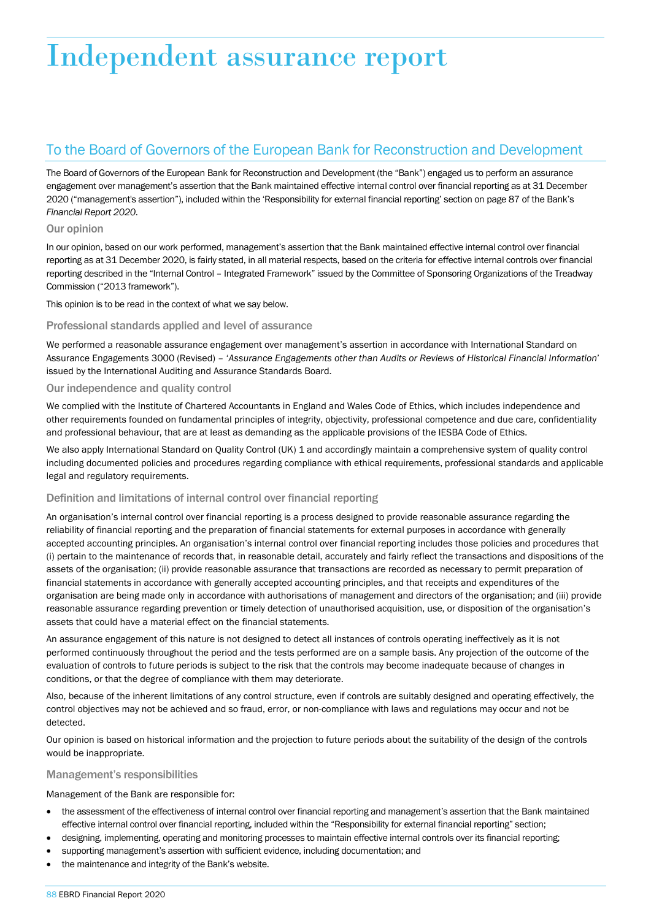# Independent assurance report

# To the Board of Governors of the European Bank for Reconstruction and Development

The Board of Governors of the European Bank for Reconstruction and Development (the "Bank") engaged us to perform an assurance engagement over management's assertion that the Bank maintained effective internal control over financial reporting as at 31 December 2020 ("management's assertion"), included within the 'Responsibility for external financial reporting' section on page 87 of the Bank's *Financial Report 2020*.

#### Our opinion

In our opinion, based on our work performed, management's assertion that the Bank maintained effective internal control over financial reporting as at 31 December 2020, is fairly stated, in all material respects, based on the criteria for effective internal controls over financial reporting described in the "Internal Control – Integrated Framework" issued by the Committee of Sponsoring Organizations of the Treadway Commission ("2013 framework").

This opinion is to be read in the context of what we say below.

#### Professional standards applied and level of assurance

We performed a reasonable assurance engagement over management's assertion in accordance with International Standard on Assurance Engagements 3000 (Revised) – '*Assurance Engagements other than Audits or Reviews of Historical Financial Information*' issued by the International Auditing and Assurance Standards Board.

#### Our independence and quality control

We complied with the Institute of Chartered Accountants in England and Wales Code of Ethics, which includes independence and other requirements founded on fundamental principles of integrity, objectivity, professional competence and due care, confidentiality and professional behaviour, that are at least as demanding as the applicable provisions of the IESBA Code of Ethics.

We also apply International Standard on Quality Control (UK) 1 and accordingly maintain a comprehensive system of quality control including documented policies and procedures regarding compliance with ethical requirements, professional standards and applicable legal and regulatory requirements.

## Definition and limitations of internal control over financial reporting

An organisation's internal control over financial reporting is a process designed to provide reasonable assurance regarding the reliability of financial reporting and the preparation of financial statements for external purposes in accordance with generally accepted accounting principles. An organisation's internal control over financial reporting includes those policies and procedures that (i) pertain to the maintenance of records that, in reasonable detail, accurately and fairly reflect the transactions and dispositions of the assets of the organisation; (ii) provide reasonable assurance that transactions are recorded as necessary to permit preparation of financial statements in accordance with generally accepted accounting principles, and that receipts and expenditures of the organisation are being made only in accordance with authorisations of management and directors of the organisation; and (iii) provide reasonable assurance regarding prevention or timely detection of unauthorised acquisition, use, or disposition of the organisation's assets that could have a material effect on the financial statements.

An assurance engagement of this nature is not designed to detect all instances of controls operating ineffectively as it is not performed continuously throughout the period and the tests performed are on a sample basis. Any projection of the outcome of the evaluation of controls to future periods is subject to the risk that the controls may become inadequate because of changes in conditions, or that the degree of compliance with them may deteriorate.

Also, because of the inherent limitations of any control structure, even if controls are suitably designed and operating effectively, the control objectives may not be achieved and so fraud, error, or non-compliance with laws and regulations may occur and not be detected.

Our opinion is based on historical information and the projection to future periods about the suitability of the design of the controls would be inappropriate.

#### Management's responsibilities

Management of the Bank are responsible for:

- the assessment of the effectiveness of internal control over financial reporting and management's assertion that the Bank maintained effective internal control over financial reporting, included within the "Responsibility for external financial reporting" section;
- designing, implementing, operating and monitoring processes to maintain effective internal controls over its financial reporting;
- supporting management's assertion with sufficient evidence, including documentation; and
- the maintenance and integrity of the Bank's website.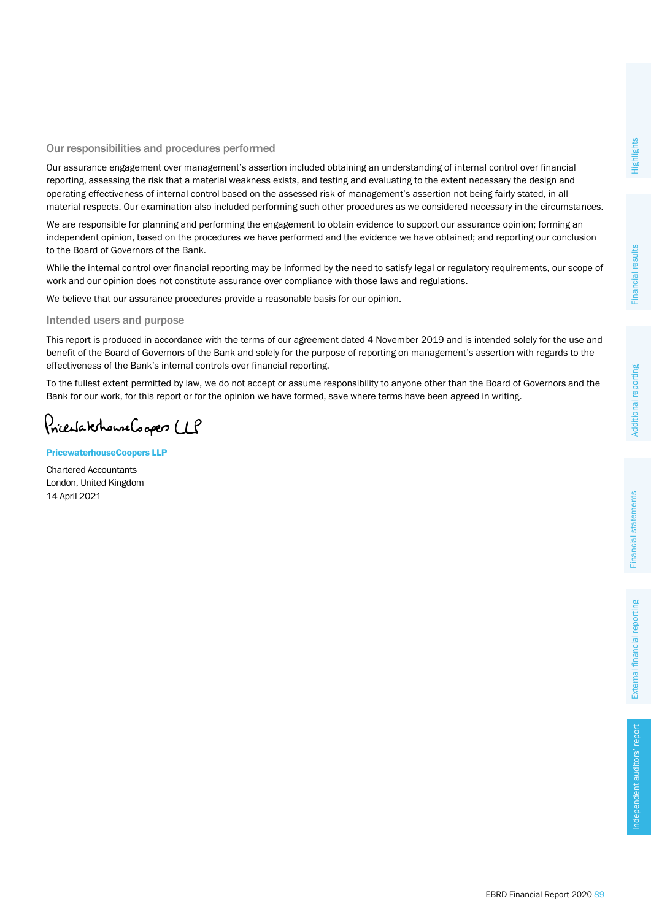# Our responsibilities and procedures performed

Our assurance engagement over management's assertion included obtaining an understanding of internal control over financial reporting, assessing the risk that a material weakness exists, and testing and evaluating to the extent necessary the design and operating effectiveness of internal control based on the assessed risk of management's assertion not being fairly stated, in all material respects. Our examination also included performing such other procedures as we considered necessary in the circumstances.

We are responsible for planning and performing the engagement to obtain evidence to support our assurance opinion; forming an independent opinion, based on the procedures we have performed and the evidence we have obtained; and reporting our conclusion to the Board of Governors of the Bank.

While the internal control over financial reporting may be informed by the need to satisfy legal or regulatory requirements, our scope of work and our opinion does not constitute assurance over compliance with those laws and regulations.

We believe that our assurance procedures provide a reasonable basis for our opinion.

#### Intended users and purpose

This report is produced in accordance with the terms of our agreement dated 4 November 2019 and is intended solely for the use and benefit of the Board of Governors of the Bank and solely for the purpose of reporting on management's assertion with regards to the effectiveness of the Bank's internal controls over financial reporting.

To the fullest extent permitted by law, we do not accept or assume responsibility to anyone other than the Board of Governors and the Bank for our work, for this report or for the opinion we have formed, save where terms have been agreed in writing.

Pricertate house Coopers (1P

#### PricewaterhouseCoopers LLP

Chartered Accountants London, United Kingdom 14 April 2021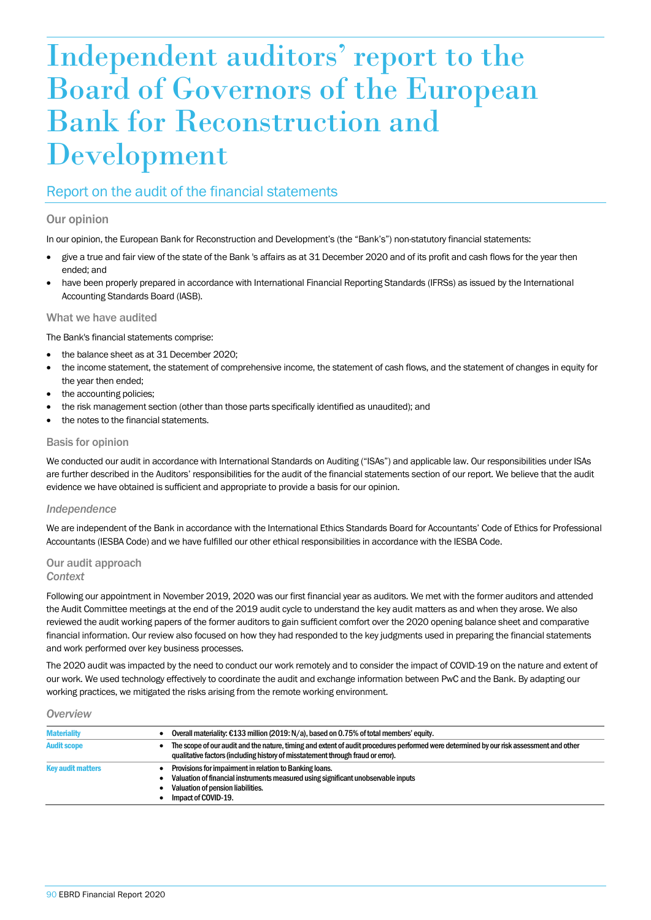# Independent auditors' report to the Board of Governors of the European Bank for Reconstruction and Development

# Report on the audit of the financial statements

# Our opinion

In our opinion, the European Bank for Reconstruction and Development's (the "Bank's") non-statutory financial statements:

- give a true and fair view of the state of the Bank 's affairs as at 31 December 2020 and of its profit and cash flows for the year then ended; and
- have been properly prepared in accordance with International Financial Reporting Standards (IFRSs) as issued by the International Accounting Standards Board (IASB).

#### What we have audited

The Bank's financial statements comprise:

- the balance sheet as at 31 December 2020;
- the income statement, the statement of comprehensive income, the statement of cash flows, and the statement of changes in equity for the year then ended;
- the accounting policies;
- the risk management section (other than those parts specifically identified as unaudited); and
- the notes to the financial statements.

#### Basis for opinion

We conducted our audit in accordance with International Standards on Auditing ("ISAs") and applicable law. Our responsibilities under ISAs are further described in the Auditors' responsibilities for the audit of the financial statements section of our report. We believe that the audit evidence we have obtained is sufficient and appropriate to provide a basis for our opinion.

#### *Independence*

We are independent of the Bank in accordance with the International Ethics Standards Board for Accountants' Code of Ethics for Professional Accountants (IESBA Code) and we have fulfilled our other ethical responsibilities in accordance with the IESBA Code.

### Our audit approach *Context*

Following our appointment in November 2019, 2020 was our first financial year as auditors. We met with the former auditors and attended the Audit Committee meetings at the end of the 2019 audit cycle to understand the key audit matters as and when they arose. We also reviewed the audit working papers of the former auditors to gain sufficient comfort over the 2020 opening balance sheet and comparative financial information. Our review also focused on how they had responded to the key judgments used in preparing the financial statements and work performed over key business processes.

The 2020 audit was impacted by the need to conduct our work remotely and to consider the impact of COVID-19 on the nature and extent of our work. We used technology effectively to coordinate the audit and exchange information between PwC and the Bank. By adapting our working practices, we mitigated the risks arising from the remote working environment.

*Overview*

| <b>Materiality</b>       | Overall materiality: €133 million (2019: N/a), based on 0.75% of total members' equity.                                                                                                                                    |
|--------------------------|----------------------------------------------------------------------------------------------------------------------------------------------------------------------------------------------------------------------------|
| <b>Audit scope</b>       | The scope of our audit and the nature, timing and extent of audit procedures performed were determined by our risk assessment and other<br>qualitative factors (including history of misstatement through fraud or error). |
| <b>Key audit matters</b> | Provisions for impairment in relation to Banking loans.<br>Valuation of financial instruments measured using significant unobservable inputs<br>Valuation of pension liabilities.<br>Impact of COVID-19.                   |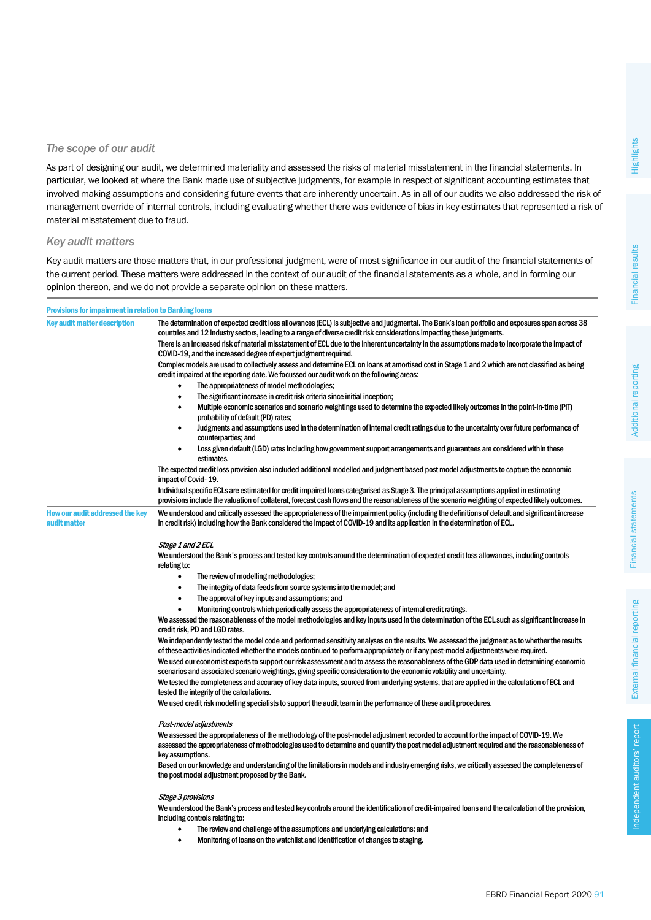## *The scope of our audit*

As part of designing our audit, we determined materiality and assessed the risks of material misstatement in the financial statements. In particular, we looked at where the Bank made use of subjective judgments, for example in respect of significant accounting estimates that involved making assumptions and considering future events that are inherently uncertain. As in all of our audits we also addressed the risk of management override of internal controls, including evaluating whether there was evidence of bias in key estimates that represented a risk of material misstatement due to fraud.

#### *Key audit matters*

Key audit matters are those matters that, in our professional judgment, were of most significance in our audit of the financial statements of the current period. These matters were addressed in the context of our audit of the financial statements as a whole, and in forming our opinion thereon, and we do not provide a separate opinion on these matters.

#### Provisions for impairment in relation to Banking loans

| <b>Key audit matter description</b>             | The determination of expected credit loss allowances (ECL) is subjective and judgmental. The Bank's loan portfolio and exposures span across 38<br>countries and 12 industry sectors, leading to a range of diverse credit risk considerations impacting these judgments.                           |
|-------------------------------------------------|-----------------------------------------------------------------------------------------------------------------------------------------------------------------------------------------------------------------------------------------------------------------------------------------------------|
|                                                 | There is an increased risk of material misstatement of ECL due to the inherent uncertainty in the assumptions made to incorporate the impact of<br>COVID-19, and the increased degree of expert judgment required.                                                                                  |
|                                                 | Complex models are used to collectively assess and determine ECL on loans at amortised cost in Stage 1 and 2 which are not classified as being<br>credit impaired at the reporting date. We focussed our audit work on the following areas:                                                         |
|                                                 | The appropriateness of model methodologies;<br>$\bullet$                                                                                                                                                                                                                                            |
|                                                 | The significant increase in credit risk criteria since initial inception;<br>$\bullet$                                                                                                                                                                                                              |
|                                                 | Multiple economic scenarios and scenario weightings used to determine the expected likely outcomes in the point-in-time (PIT)<br>$\bullet$<br>probability of default (PD) rates;                                                                                                                    |
|                                                 | Judgments and assumptions used in the determination of internal credit ratings due to the uncertainty over future performance of<br>$\bullet$<br>counterparties; and                                                                                                                                |
|                                                 | Loss given default (LGD) rates including how government support arrangements and guarantees are considered within these<br>$\bullet$<br>estimates.                                                                                                                                                  |
|                                                 | The expected credit loss provision also included additional modelled and judgment based post model adjustments to capture the economic<br>impact of Covid-19.                                                                                                                                       |
|                                                 | Individual specific ECLs are estimated for credit impaired loans categorised as Stage 3. The principal assumptions applied in estimating<br>provisions include the valuation of collateral, forecast cash flows and the reasonableness of the scenario weighting of expected likely outcomes.       |
| How our audit addressed the key<br>audit matter | We understood and critically assessed the appropriateness of the impairment policy (including the definitions of default and significant increase<br>in credit risk) including how the Bank considered the impact of COVID-19 and its application in the determination of ECL.                      |
|                                                 | Stage 1 and 2 ECL                                                                                                                                                                                                                                                                                   |
|                                                 | We understood the Bank's process and tested key controls around the determination of expected credit loss allowances, including controls<br>relating to:                                                                                                                                            |
|                                                 | The review of modelling methodologies;<br>$\bullet$                                                                                                                                                                                                                                                 |
|                                                 | The integrity of data feeds from source systems into the model; and<br>$\bullet$                                                                                                                                                                                                                    |
|                                                 | The approval of key inputs and assumptions; and<br>٠                                                                                                                                                                                                                                                |
|                                                 | Monitoring controls which periodically assess the appropriateness of internal credit ratings.                                                                                                                                                                                                       |
|                                                 | We assessed the reasonableness of the model methodologies and key inputs used in the determination of the ECL such as significant increase in<br>credit risk, PD and LGD rates.                                                                                                                     |
|                                                 | We independently tested the model code and performed sensitivity analyses on the results. We assessed the judgment as to whether the results<br>of these activities indicated whether the models continued to perform appropriately or if any post-model adjustments were required.                 |
|                                                 | We used our economist experts to support our risk assessment and to assess the reasonableness of the GDP data used in determining economic<br>scenarios and associated scenario weightings, giving specific consideration to the economic volatility and uncertainty.                               |
|                                                 | We tested the completeness and accuracy of key data inputs, sourced from underlying systems, that are applied in the calculation of ECL and<br>tested the integrity of the calculations.                                                                                                            |
|                                                 | We used credit risk modelling specialists to support the audit team in the performance of these audit procedures.                                                                                                                                                                                   |
|                                                 | Post-model adjustments                                                                                                                                                                                                                                                                              |
|                                                 | We assessed the appropriateness of the methodology of the post-model adjustment recorded to account for the impact of COVID-19. We<br>assessed the appropriateness of methodologies used to determine and quantify the post model adjustment required and the reasonableness of<br>key assumptions. |
|                                                 | Based on our knowledge and understanding of the limitations in models and industry emerging risks, we critically assessed the completeness of                                                                                                                                                       |

the post model adjustment proposed by the Bank.

#### Stage 3 provisions

We understood the Bank's process and tested key controls around the identification of credit-impaired loans and the calculation of the provision, including controls relating to:

- The review and challenge of the assumptions and underlying calculations; and
- Monitoring of loans on the watchlist and identification of changes to staging.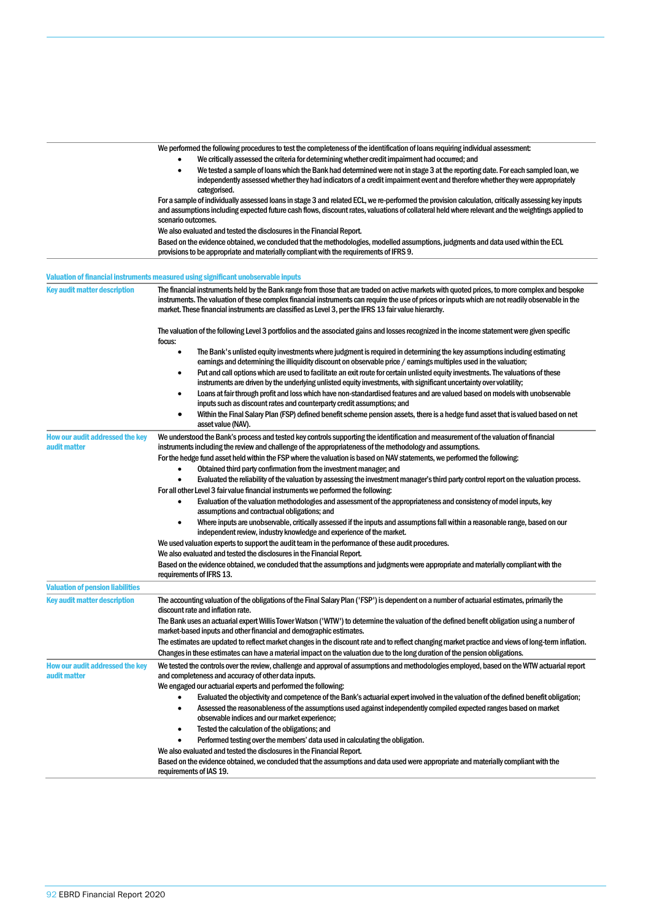|                                         | We performed the following procedures to test the completeness of the identification of loans requiring individual assessment:<br>We critically assessed the criteria for determining whether credit impairment had occurred; and                                                                                                                                                                          |
|-----------------------------------------|------------------------------------------------------------------------------------------------------------------------------------------------------------------------------------------------------------------------------------------------------------------------------------------------------------------------------------------------------------------------------------------------------------|
|                                         | We tested a sample of loans which the Bank had determined were not in stage 3 at the reporting date. For each sampled loan, we<br>$\bullet$<br>independently assessed whether they had indicators of a credit impairment event and therefore whether they were appropriately<br>categorised.                                                                                                               |
|                                         | For a sample of individually assessed loans in stage 3 and related ECL, we re-performed the provision calculation, critically assessing key inputs<br>and assumptions including expected future cash flows, discount rates, valuations of collateral held where relevant and the weightings applied to<br>scenario outcomes.                                                                               |
|                                         | We also evaluated and tested the disclosures in the Financial Report.<br>Based on the evidence obtained, we concluded that the methodologies, modelled assumptions, judgments and data used within the ECL<br>provisions to be appropriate and materially compliant with the requirements of IFRS 9.                                                                                                       |
|                                         | Valuation of financial instruments measured using significant unobservable inputs                                                                                                                                                                                                                                                                                                                          |
| <b>Key audit matter description</b>     | The financial instruments held by the Bank range from those that are traded on active markets with quoted prices, to more complex and bespoke<br>instruments. The valuation of these complex financial instruments can require the use of prices or inputs which are not readily observable in the<br>market. These financial instruments are classified as Level 3, per the IFRS 13 fair value hierarchy. |
|                                         | The valuation of the following Level 3 portfolios and the associated gains and losses recognized in the income statement were given specific<br>focus:                                                                                                                                                                                                                                                     |
|                                         | The Bank's unlisted equity investments where judgment is required in determining the key assumptions including estimating<br>$\bullet$<br>earnings and determining the illiquidity discount on observable price / earnings multiples used in the valuation;                                                                                                                                                |
|                                         | Put and call options which are used to facilitate an exit route for certain unlisted equity investments. The valuations of these<br>$\bullet$<br>instruments are driven by the underlying unlisted equity investments, with significant uncertainty over volatility;                                                                                                                                       |
|                                         | Loans at fair through profit and loss which have non-standardised features and are valued based on models with unobservable<br>٠                                                                                                                                                                                                                                                                           |
|                                         | inputs such as discount rates and counterparty credit assumptions; and<br>Within the Final Salary Plan (FSP) defined benefit scheme pension assets, there is a hedge fund asset that is valued based on net<br>٠<br>asset value (NAV).                                                                                                                                                                     |
| How our audit addressed the key         | We understood the Bank's process and tested key controls supporting the identification and measurement of the valuation of financial                                                                                                                                                                                                                                                                       |
| audit matter                            | instruments including the review and challenge of the appropriateness of the methodology and assumptions.                                                                                                                                                                                                                                                                                                  |
|                                         | For the hedge fund asset held within the FSP where the valuation is based on NAV statements, we performed the following:                                                                                                                                                                                                                                                                                   |
|                                         | Obtained third party confirmation from the investment manager; and<br>$\bullet$                                                                                                                                                                                                                                                                                                                            |
|                                         | Evaluated the reliability of the valuation by assessing the investment manager's third party control report on the valuation process.<br>$\bullet$<br>For all other Level 3 fair value financial instruments we performed the following:                                                                                                                                                                   |
|                                         | Evaluation of the valuation methodologies and assessment of the appropriateness and consistency of model inputs, key<br>$\bullet$                                                                                                                                                                                                                                                                          |
|                                         | assumptions and contractual obligations; and                                                                                                                                                                                                                                                                                                                                                               |
|                                         | Where inputs are unobservable, critically assessed if the inputs and assumptions fall within a reasonable range, based on our<br>$\bullet$<br>independent review, industry knowledge and experience of the market.                                                                                                                                                                                         |
|                                         | We used valuation experts to support the audit team in the performance of these audit procedures.                                                                                                                                                                                                                                                                                                          |
|                                         | We also evaluated and tested the disclosures in the Financial Report.<br>Based on the evidence obtained, we concluded that the assumptions and judgments were appropriate and materially compliant with the<br>requirements of IFRS 13.                                                                                                                                                                    |
| <b>Valuation of pension liabilities</b> |                                                                                                                                                                                                                                                                                                                                                                                                            |
| <b>Key audit matter description</b>     | The accounting valuation of the obligations of the Final Salary Plan ('FSP') is dependent on a number of actuarial estimates, primarily the<br>discount rate and inflation rate.                                                                                                                                                                                                                           |
|                                         | The Bank uses an actuarial expert Willis Tower Watson ('WTW') to determine the valuation of the defined benefit obligation using a number of                                                                                                                                                                                                                                                               |
|                                         | market-based inputs and other financial and demographic estimates.<br>The estimates are updated to reflect market changes in the discount rate and to reflect changing market practice and views of long-term inflation.                                                                                                                                                                                   |
|                                         | Changes in these estimates can have a material impact on the valuation due to the long duration of the pension obligations.                                                                                                                                                                                                                                                                                |
| How our audit addressed the key         | We tested the controls over the review, challenge and approval of assumptions and methodologies employed, based on the WTW actuarial report                                                                                                                                                                                                                                                                |
| audit matter                            | and completeness and accuracy of other data inputs.                                                                                                                                                                                                                                                                                                                                                        |
|                                         | We engaged our actuarial experts and performed the following:                                                                                                                                                                                                                                                                                                                                              |
|                                         | Evaluated the objectivity and competence of the Bank's actuarial expert involved in the valuation of the defined benefit obligation;<br>$\bullet$<br>Assessed the reasonableness of the assumptions used against independently compiled expected ranges based on market<br>٠                                                                                                                               |
|                                         | observable indices and our market experience;                                                                                                                                                                                                                                                                                                                                                              |
|                                         | Tested the calculation of the obligations; and<br>٠                                                                                                                                                                                                                                                                                                                                                        |
|                                         | Performed testing over the members' data used in calculating the obligation.<br>$\bullet$                                                                                                                                                                                                                                                                                                                  |
|                                         | We also evaluated and tested the disclosures in the Financial Report.                                                                                                                                                                                                                                                                                                                                      |
|                                         | Based on the evidence obtained, we concluded that the assumptions and data used were appropriate and materially compliant with the<br>requirements of IAS 19.                                                                                                                                                                                                                                              |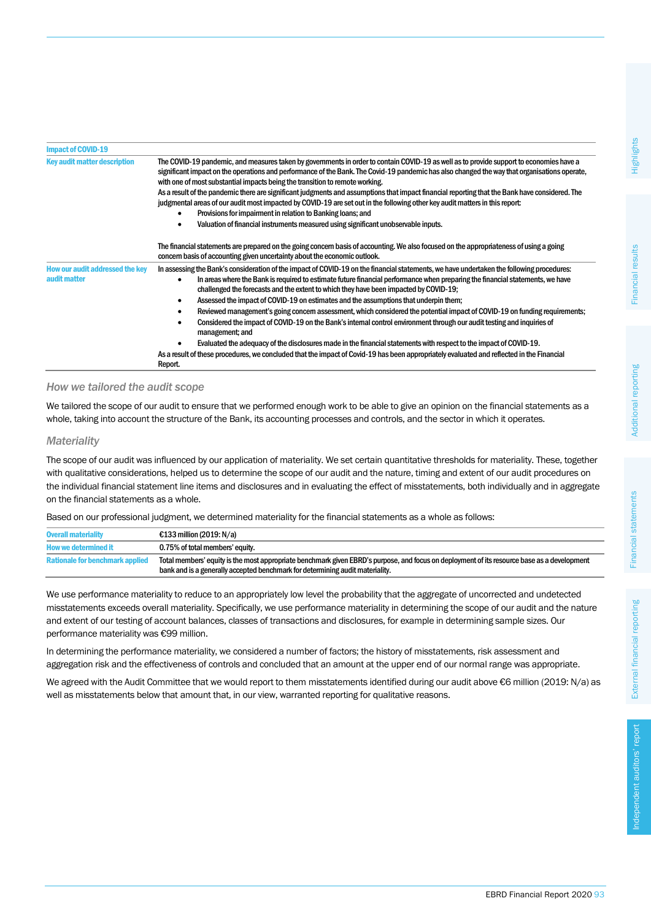| <b>Impact of COVID-19</b>                       |                                                                                                                                                                                                                                                                                                                                                                                                                                                                               |
|-------------------------------------------------|-------------------------------------------------------------------------------------------------------------------------------------------------------------------------------------------------------------------------------------------------------------------------------------------------------------------------------------------------------------------------------------------------------------------------------------------------------------------------------|
| <b>Key audit matter description</b>             | The COVID-19 pandemic, and measures taken by governments in order to contain COVID-19 as well as to provide support to economies have a<br>significant impact on the operations and performance of the Bank. The Covid-19 pandemic has also changed the way that organisations operate,<br>with one of most substantial impacts being the transition to remote working.                                                                                                       |
|                                                 | As a result of the pandemic there are significant judgments and assumptions that impact financial reporting that the Bank have considered. The<br>judgmental areas of our audit most impacted by COVID-19 are set out in the following other key audit matters in this report:                                                                                                                                                                                                |
|                                                 | Provisions for impairment in relation to Banking loans; and<br>$\bullet$                                                                                                                                                                                                                                                                                                                                                                                                      |
|                                                 | Valuation of financial instruments measured using significant unobservable inputs.                                                                                                                                                                                                                                                                                                                                                                                            |
|                                                 | The financial statements are prepared on the going concern basis of accounting. We also focused on the appropriateness of using a going<br>concern basis of accounting given uncertainty about the economic outlook.                                                                                                                                                                                                                                                          |
| How our audit addressed the key<br>audit matter | In assessing the Bank's consideration of the impact of COVID-19 on the financial statements, we have undertaken the following procedures:<br>In areas where the Bank is required to estimate future financial performance when preparing the financial statements, we have<br>$\bullet$<br>challenged the forecasts and the extent to which they have been impacted by COVID-19;<br>Assessed the impact of COVID-19 on estimates and the assumptions that underpin them;<br>٠ |
|                                                 | Reviewed management's going concem assessment, which considered the potential impact of COVID-19 on funding requirements;<br>Considered the impact of COVID-19 on the Bank's internal control environment through our audit testing and inquiries of<br>management; and                                                                                                                                                                                                       |
|                                                 | Evaluated the adequacy of the disclosures made in the financial statements with respect to the impact of COVID-19.                                                                                                                                                                                                                                                                                                                                                            |
|                                                 | As a result of these procedures, we concluded that the impact of Covid-19 has been appropriately evaluated and reflected in the Financial<br>Report.                                                                                                                                                                                                                                                                                                                          |

#### *How we tailored the audit scope*

We tailored the scope of our audit to ensure that we performed enough work to be able to give an opinion on the financial statements as a whole, taking into account the structure of the Bank, its accounting processes and controls, and the sector in which it operates.

#### *Materiality*

The scope of our audit was influenced by our application of materiality. We set certain quantitative thresholds for materiality. These, together with qualitative considerations, helped us to determine the scope of our audit and the nature, timing and extent of our audit procedures on the individual financial statement line items and disclosures and in evaluating the effect of misstatements, both individually and in aggregate on the financial statements as a whole.

Based on our professional judgment, we determined materiality for the financial statements as a whole as follows:

| <b>Overall materiality</b>             | €133 million (2019: N/a)                                                                                                                                                                                                     |
|----------------------------------------|------------------------------------------------------------------------------------------------------------------------------------------------------------------------------------------------------------------------------|
| <b>How we determined it</b>            | 0.75% of total members' equity.                                                                                                                                                                                              |
| <b>Rationale for benchmark applied</b> | Total members' equity is the most appropriate benchmark given EBRD's purpose, and focus on deployment of its resource base as a development<br>bank and is a generally accepted benchmark for determining audit materiality. |

We use performance materiality to reduce to an appropriately low level the probability that the aggregate of uncorrected and undetected misstatements exceeds overall materiality. Specifically, we use performance materiality in determining the scope of our audit and the nature and extent of our testing of account balances, classes of transactions and disclosures, for example in determining sample sizes. Our performance materiality was €99 million.

In determining the performance materiality, we considered a number of factors; the history of misstatements, risk assessment and aggregation risk and the effectiveness of controls and concluded that an amount at the upper end of our normal range was appropriate.

We agreed with the Audit Committee that we would report to them misstatements identified during our audit above €6 million (2019: N/a) as well as misstatements below that amount that, in our view, warranted reporting for qualitative reasons.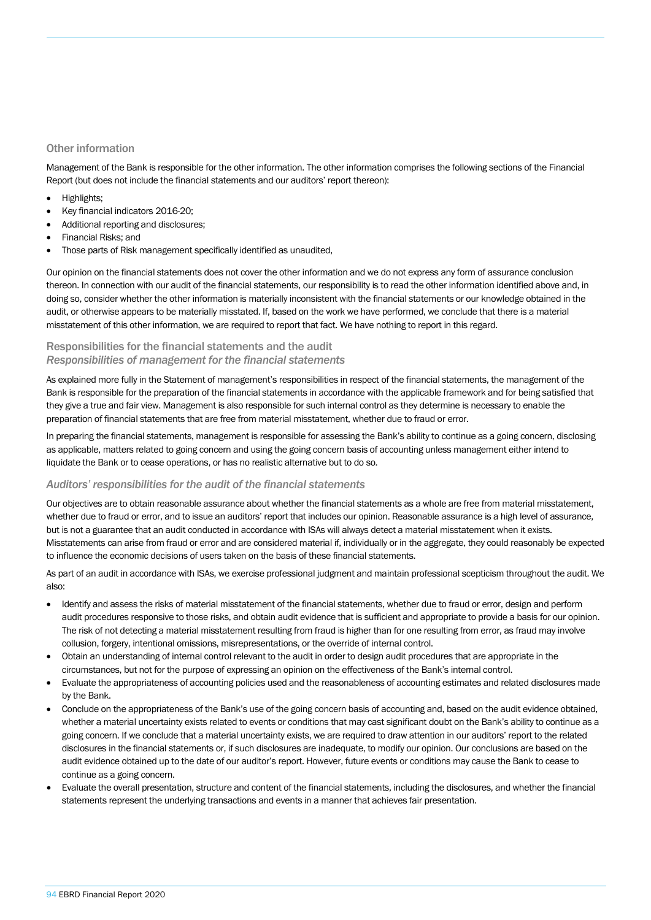#### Other information

Management of the Bank is responsible for the other information. The other information comprises the following sections of the Financial Report (but does not include the financial statements and our auditors' report thereon):

- Highlights;
- Key financial indicators 2016-20;
- Additional reporting and disclosures;
- Financial Risks; and
- Those parts of Risk management specifically identified as unaudited,

Our opinion on the financial statements does not cover the other information and we do not express any form of assurance conclusion thereon. In connection with our audit of the financial statements, our responsibility is to read the other information identified above and, in doing so, consider whether the other information is materially inconsistent with the financial statements or our knowledge obtained in the audit, or otherwise appears to be materially misstated. If, based on the work we have performed, we conclude that there is a material misstatement of this other information, we are required to report that fact. We have nothing to report in this regard.

## Responsibilities for the financial statements and the audit *Responsibilities of management for the financial statements*

As explained more fully in the Statement of management's responsibilities in respect of the financial statements, the management of the Bank is responsible for the preparation of the financial statements in accordance with the applicable framework and for being satisfied that they give a true and fair view. Management is also responsible for such internal control as they determine is necessary to enable the preparation of financial statements that are free from material misstatement, whether due to fraud or error.

In preparing the financial statements, management is responsible for assessing the Bank's ability to continue as a going concern, disclosing as applicable, matters related to going concern and using the going concern basis of accounting unless management either intend to liquidate the Bank or to cease operations, or has no realistic alternative but to do so.

#### *Auditors' responsibilities for the audit of the financial statements*

Our objectives are to obtain reasonable assurance about whether the financial statements as a whole are free from material misstatement, whether due to fraud or error, and to issue an auditors' report that includes our opinion. Reasonable assurance is a high level of assurance, but is not a guarantee that an audit conducted in accordance with ISAs will always detect a material misstatement when it exists. Misstatements can arise from fraud or error and are considered material if, individually or in the aggregate, they could reasonably be expected to influence the economic decisions of users taken on the basis of these financial statements.

As part of an audit in accordance with ISAs, we exercise professional judgment and maintain professional scepticism throughout the audit. We also:

- Identify and assess the risks of material misstatement of the financial statements, whether due to fraud or error, design and perform audit procedures responsive to those risks, and obtain audit evidence that is sufficient and appropriate to provide a basis for our opinion. The risk of not detecting a material misstatement resulting from fraud is higher than for one resulting from error, as fraud may involve collusion, forgery, intentional omissions, misrepresentations, or the override of internal control.
- Obtain an understanding of internal control relevant to the audit in order to design audit procedures that are appropriate in the circumstances, but not for the purpose of expressing an opinion on the effectiveness of the Bank's internal control.
- Evaluate the appropriateness of accounting policies used and the reasonableness of accounting estimates and related disclosures made by the Bank.
- Conclude on the appropriateness of the Bank's use of the going concern basis of accounting and, based on the audit evidence obtained, whether a material uncertainty exists related to events or conditions that may cast significant doubt on the Bank's ability to continue as a going concern. If we conclude that a material uncertainty exists, we are required to draw attention in our auditors' report to the related disclosures in the financial statements or, if such disclosures are inadequate, to modify our opinion. Our conclusions are based on the audit evidence obtained up to the date of our auditor's report. However, future events or conditions may cause the Bank to cease to continue as a going concern.
- Evaluate the overall presentation, structure and content of the financial statements, including the disclosures, and whether the financial statements represent the underlying transactions and events in a manner that achieves fair presentation.